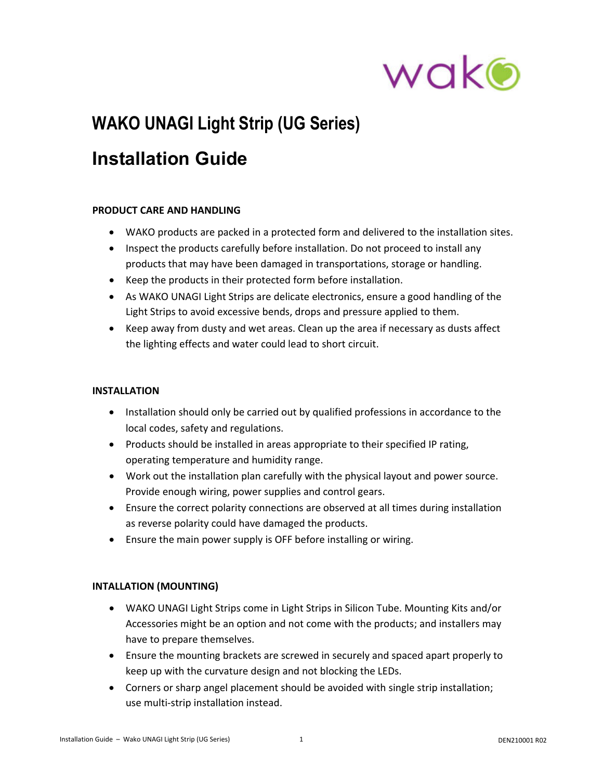

# **WAKO UNAGI Light Strip (UG Series)**

## **Installation Guide**

### **PRODUCT CARE AND HANDLING**

- WAKO products are packed in a protected form and delivered to the installation sites.
- Inspect the products carefully before installation. Do not proceed to install any products that may have been damaged in transportations, storage or handling.
- Keep the products in their protected form before installation.
- As WAKO UNAGI Light Strips are delicate electronics, ensure a good handling of the Light Strips to avoid excessive bends, drops and pressure applied to them.
- Keep away from dusty and wet areas. Clean up the area if necessary as dusts affect the lighting effects and water could lead to short circuit.

### **INSTALLATION**

- Installation should only be carried out by qualified professions in accordance to the local codes, safety and regulations.
- Products should be installed in areas appropriate to their specified IP rating, operating temperature and humidity range.
- Work out the installation plan carefully with the physical layout and power source. Provide enough wiring, power supplies and control gears.
- Ensure the correct polarity connections are observed at all times during installation as reverse polarity could have damaged the products.
- Ensure the main power supply is OFF before installing or wiring.

### **INTALLATION (MOUNTING)**

- WAKO UNAGI Light Strips come in Light Strips in Silicon Tube. Mounting Kits and/or Accessories might be an option and not come with the products; and installers may have to prepare themselves.
- Ensure the mounting brackets are screwed in securely and spaced apart properly to keep up with the curvature design and not blocking the LEDs.
- Corners or sharp angel placement should be avoided with single strip installation; use multi‐strip installation instead.